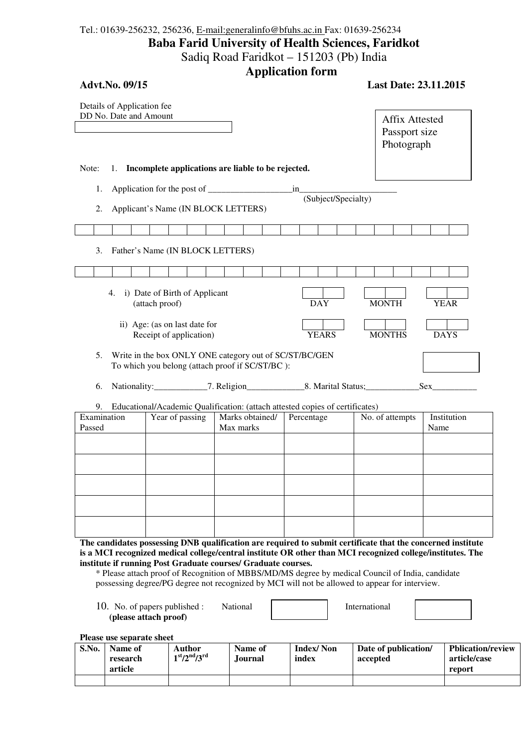## Tel.: 01639-256232, 256236, E-mail:generalinfo@bfuhs.ac.in Fax: 01639-256234 **Baba Farid University of Health Sciences, Faridkot**  Sadiq Road Faridkot – 151203 (Pb) India **Application form**

| <b>Advt.No. 09/15</b><br>Details of Application fee<br>DD No. Date and Amount |                                                                                                                                                                                                                                                                     |                |                                                          |                               | дррисации тогни                                                                                           |  |                           |              |  |                     | <b>Last Date: 23.11.2015</b> |                                                      |                      |             |                                          |
|-------------------------------------------------------------------------------|---------------------------------------------------------------------------------------------------------------------------------------------------------------------------------------------------------------------------------------------------------------------|----------------|----------------------------------------------------------|-------------------------------|-----------------------------------------------------------------------------------------------------------|--|---------------------------|--------------|--|---------------------|------------------------------|------------------------------------------------------|----------------------|-------------|------------------------------------------|
|                                                                               |                                                                                                                                                                                                                                                                     |                |                                                          |                               |                                                                                                           |  |                           |              |  |                     |                              | <b>Affix Attested</b><br>Passport size<br>Photograph |                      |             |                                          |
| Note:                                                                         |                                                                                                                                                                                                                                                                     |                |                                                          |                               | 1. Incomplete applications are liable to be rejected.                                                     |  |                           |              |  |                     |                              |                                                      |                      |             |                                          |
| 1.                                                                            |                                                                                                                                                                                                                                                                     |                |                                                          |                               |                                                                                                           |  | in                        |              |  |                     |                              |                                                      |                      |             |                                          |
| 2.                                                                            |                                                                                                                                                                                                                                                                     |                |                                                          |                               | Applicant's Name (IN BLOCK LETTERS)                                                                       |  |                           |              |  | (Subject/Specialty) |                              |                                                      |                      |             |                                          |
|                                                                               |                                                                                                                                                                                                                                                                     |                |                                                          |                               |                                                                                                           |  |                           |              |  |                     |                              |                                                      |                      |             |                                          |
| 3.                                                                            | Father's Name (IN BLOCK LETTERS)                                                                                                                                                                                                                                    |                |                                                          |                               |                                                                                                           |  |                           |              |  |                     |                              |                                                      |                      |             |                                          |
|                                                                               |                                                                                                                                                                                                                                                                     |                |                                                          |                               |                                                                                                           |  |                           |              |  |                     |                              |                                                      |                      |             |                                          |
|                                                                               | 4.                                                                                                                                                                                                                                                                  | (attach proof) |                                                          | i) Date of Birth of Applicant |                                                                                                           |  |                           | <b>DAY</b>   |  |                     | <b>MONTH</b>                 |                                                      |                      | <b>YEAR</b> |                                          |
|                                                                               |                                                                                                                                                                                                                                                                     |                | ii) Age: (as on last date for<br>Receipt of application) |                               |                                                                                                           |  |                           | <b>YEARS</b> |  |                     | <b>MONTHS</b>                |                                                      |                      | <b>DAYS</b> |                                          |
| 5.                                                                            |                                                                                                                                                                                                                                                                     |                |                                                          |                               | Write in the box ONLY ONE category out of SC/ST/BC/GEN<br>To which you belong (attach proof if SC/ST/BC): |  |                           |              |  |                     |                              |                                                      |                      |             |                                          |
| 6.                                                                            |                                                                                                                                                                                                                                                                     |                |                                                          |                               |                                                                                                           |  |                           |              |  |                     |                              |                                                      | Sex                  |             |                                          |
| 9.                                                                            |                                                                                                                                                                                                                                                                     |                |                                                          |                               | Educational/Academic Qualification: (attach attested copies of certificates)                              |  |                           |              |  |                     |                              |                                                      |                      |             |                                          |
| Examination<br>Passed                                                         |                                                                                                                                                                                                                                                                     |                | Year of passing                                          |                               | Marks obtained/<br>Max marks                                                                              |  | Percentage                |              |  |                     |                              | No. of attempts                                      | Name                 | Institution |                                          |
|                                                                               |                                                                                                                                                                                                                                                                     |                |                                                          |                               |                                                                                                           |  |                           |              |  |                     |                              |                                                      |                      |             |                                          |
|                                                                               |                                                                                                                                                                                                                                                                     |                |                                                          |                               |                                                                                                           |  |                           |              |  |                     |                              |                                                      |                      |             |                                          |
|                                                                               |                                                                                                                                                                                                                                                                     |                |                                                          |                               |                                                                                                           |  |                           |              |  |                     |                              |                                                      |                      |             |                                          |
|                                                                               | The candidates possessing DNB qualification are required to submit certificate that the concerned institute<br>is a MCI recognized medical college/central institute OR other than MCI recognized college/institutes. The                                           |                |                                                          |                               |                                                                                                           |  |                           |              |  |                     |                              |                                                      |                      |             |                                          |
|                                                                               | institute if running Post Graduate courses/ Graduate courses.<br>* Please attach proof of Recognition of MBBS/MD/MS degree by medical Council of India, candidate<br>possessing degree/PG degree not recognized by MCI will not be allowed to appear for interview. |                |                                                          |                               |                                                                                                           |  |                           |              |  |                     |                              |                                                      |                      |             |                                          |
| 10. No. of papers published :<br>(please attach proof)                        |                                                                                                                                                                                                                                                                     |                | National                                                 | International                 |                                                                                                           |  |                           |              |  |                     |                              |                                                      |                      |             |                                          |
|                                                                               | Please use separate sheet                                                                                                                                                                                                                                           |                |                                                          |                               |                                                                                                           |  |                           |              |  |                     |                              |                                                      |                      |             |                                          |
| S.No.                                                                         | Name of<br>research                                                                                                                                                                                                                                                 |                | <b>Author</b><br>$1st/2nd/3rd$                           |                               | Name of<br>Journal                                                                                        |  | <b>Index/Non</b><br>index |              |  | accepted            |                              |                                                      | Date of publication/ |             | <b>Pblication/review</b><br>article/case |

**report** 

**article**